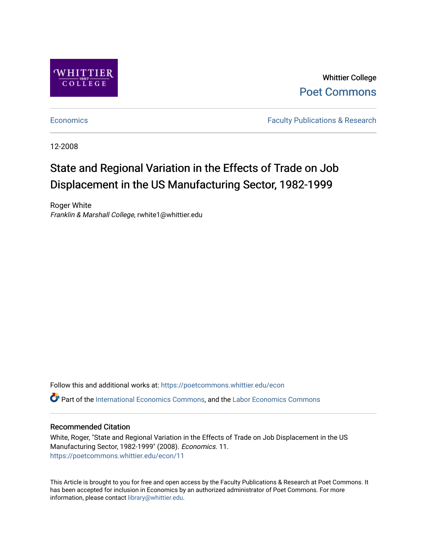

Whittier College [Poet Commons](https://poetcommons.whittier.edu/) 

[Economics](https://poetcommons.whittier.edu/econ) **Faculty Publications & Research** 

12-2008

# State and Regional Variation in the Effects of Trade on Job Displacement in the US Manufacturing Sector, 1982-1999

Roger White Franklin & Marshall College, rwhite1@whittier.edu

Follow this and additional works at: [https://poetcommons.whittier.edu/econ](https://poetcommons.whittier.edu/econ?utm_source=poetcommons.whittier.edu%2Fecon%2F11&utm_medium=PDF&utm_campaign=PDFCoverPages) Part of the [International Economics Commons,](http://network.bepress.com/hgg/discipline/348?utm_source=poetcommons.whittier.edu%2Fecon%2F11&utm_medium=PDF&utm_campaign=PDFCoverPages) and the [Labor Economics Commons](http://network.bepress.com/hgg/discipline/349?utm_source=poetcommons.whittier.edu%2Fecon%2F11&utm_medium=PDF&utm_campaign=PDFCoverPages) 

## Recommended Citation

White, Roger, "State and Regional Variation in the Effects of Trade on Job Displacement in the US Manufacturing Sector, 1982-1999" (2008). Economics. 11. [https://poetcommons.whittier.edu/econ/11](https://poetcommons.whittier.edu/econ/11?utm_source=poetcommons.whittier.edu%2Fecon%2F11&utm_medium=PDF&utm_campaign=PDFCoverPages) 

This Article is brought to you for free and open access by the Faculty Publications & Research at Poet Commons. It has been accepted for inclusion in Economics by an authorized administrator of Poet Commons. For more information, please contact [library@whittier.edu.](mailto:library@whittier.edu)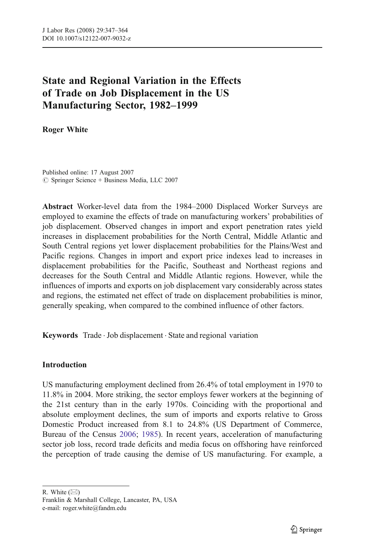# State and Regional Variation in the Effects of Trade on Job Displacement in the US Manufacturing Sector, 1982*–*1999

Roger White

Published online: 17 August 2007  $\oslash$  Springer Science + Business Media, LLC 2007

Abstract Worker-level data from the 1984–2000 Displaced Worker Surveys are employed to examine the effects of trade on manufacturing workers' probabilities of job displacement. Observed changes in import and export penetration rates yield increases in displacement probabilities for the North Central, Middle Atlantic and South Central regions yet lower displacement probabilities for the Plains/West and Pacific regions. Changes in import and export price indexes lead to increases in displacement probabilities for the Pacific, Southeast and Northeast regions and decreases for the South Central and Middle Atlantic regions. However, while the influences of imports and exports on job displacement vary considerably across states and regions, the estimated net effect of trade on displacement probabilities is minor, generally speaking, when compared to the combined influence of other factors.

Keywords Trade .Job displacement . State and regional variation

### Introduction

US manufacturing employment declined from 26.4% of total employment in 1970 to 11.8% in 2004. More striking, the sector employs fewer workers at the beginning of the 21st century than in the early 1970s. Coinciding with the proportional and absolute employment declines, the sum of imports and exports relative to Gross Domestic Product increased from 8.1 to 24.8% (US Department of Commerce, Bureau of the Census [2006](#page-18-0); [1985\)](#page-18-0). In recent years, acceleration of manufacturing sector job loss, record trade deficits and media focus on offshoring have reinforced the perception of trade causing the demise of US manufacturing. For example, a

R. White  $(\boxtimes)$ 

Franklin & Marshall College, Lancaster, PA, USA e-mail: roger.white@fandm.edu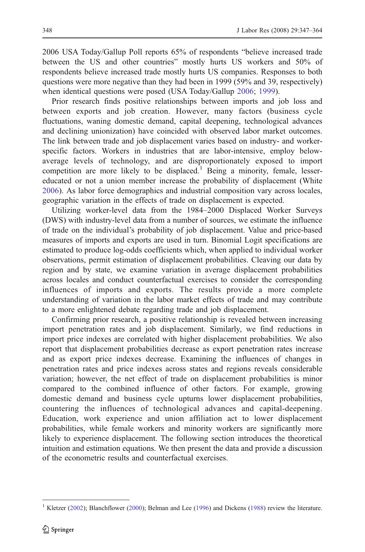2006 USA Today/Gallup Poll reports 65% of respondents "believe increased trade between the US and other countries" mostly hurts US workers and 50% of respondents believe increased trade mostly hurts US companies. Responses to both questions were more negative than they had been in 1999 (59% and 39, respectively) when identical questions were posed (USA Today/Gallup [2006;](#page-18-0) [1999\)](#page-18-0).

Prior research finds positive relationships between imports and job loss and between exports and job creation. However, many factors (business cycle fluctuations, waning domestic demand, capital deepening, technological advances and declining unionization) have coincided with observed labor market outcomes. The link between trade and job displacement varies based on industry- and workerspecific factors. Workers in industries that are labor-intensive, employ belowaverage levels of technology, and are disproportionately exposed to import competition are more likely to be displaced.<sup>1</sup> Being a minority, female, lessereducated or not a union member increase the probability of displacement (White [2006\)](#page-18-0). As labor force demographics and industrial composition vary across locales, geographic variation in the effects of trade on displacement is expected.

Utilizing worker-level data from the 1984–2000 Displaced Worker Surveys (DWS) with industry-level data from a number of sources, we estimate the influence of trade on the individual's probability of job displacement. Value and price-based measures of imports and exports are used in turn. Binomial Logit specifications are estimated to produce log-odds coefficients which, when applied to individual worker observations, permit estimation of displacement probabilities. Cleaving our data by region and by state, we examine variation in average displacement probabilities across locales and conduct counterfactual exercises to consider the corresponding influences of imports and exports. The results provide a more complete understanding of variation in the labor market effects of trade and may contribute to a more enlightened debate regarding trade and job displacement.

Confirming prior research, a positive relationship is revealed between increasing import penetration rates and job displacement. Similarly, we find reductions in import price indexes are correlated with higher displacement probabilities. We also report that displacement probabilities decrease as export penetration rates increase and as export price indexes decrease. Examining the influences of changes in penetration rates and price indexes across states and regions reveals considerable variation; however, the net effect of trade on displacement probabilities is minor compared to the combined influence of other factors. For example, growing domestic demand and business cycle upturns lower displacement probabilities, countering the influences of technological advances and capital-deepening. Education, work experience and union affiliation act to lower displacement probabilities, while female workers and minority workers are significantly more likely to experience displacement. The following section introduces the theoretical intuition and estimation equations. We then present the data and provide a discussion of the econometric results and counterfactual exercises.

<sup>1</sup> Kletzer [\(2002](#page-18-0)); Blanchflower [\(2000](#page-18-0)); Belman and Lee ([1996\)](#page-17-0) and Dickens [\(1988](#page-18-0)) review the literature.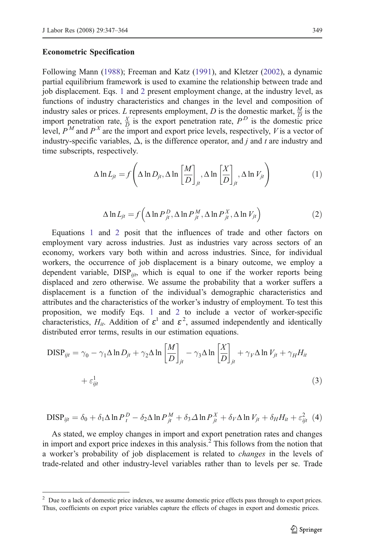#### <span id="page-3-0"></span>Econometric Specification

Following Mann ([1988\)](#page-18-0); Freeman and Katz [\(1991](#page-18-0)), and Kletzer [\(2002](#page-18-0)), a dynamic partial equilibrium framework is used to examine the relationship between trade and job displacement. Eqs. 1 and 2 present employment change, at the industry level, as functions of industry characteristics and changes in the level and composition of industry sales or prices. L represents employment, D is the domestic market,  $\frac{M}{D}$  is the import penetration rate,  $\frac{X}{D}$  is the export penetration rate,  $P^D$  is the domestic price level,  $P^{M}$  and  $P^{X}$  are the import and export price levels, respectively, V is a vector of industry-specific variables,  $\Delta$ , is the difference operator, and *i* and *t* are industry and time subscripts, respectively.

$$
\Delta \ln L_{jt} = f\left(\Delta \ln D_{jt}, \Delta \ln \left[\frac{M}{D}\right]_{jt}, \Delta \ln \left[\frac{X}{D}\right]_{jt}, \Delta \ln V_{jt}\right) \tag{1}
$$

$$
\Delta \ln L_{jt} = f\left(\Delta \ln P_{jt}^D, \Delta \ln P_{jt}^M, \Delta \ln P_{jt}^X, \Delta \ln V_{jt}\right) \tag{2}
$$

Equations 1 and 2 posit that the influences of trade and other factors on employment vary across industries. Just as industries vary across sectors of an economy, workers vary both within and across industries. Since, for individual workers, the occurrence of job displacement is a binary outcome, we employ a dependent variable,  $DISP_{ijt}$ , which is equal to one if the worker reports being displaced and zero otherwise. We assume the probability that a worker suffers a displacement is a function of the individual's demographic characteristics and attributes and the characteristics of the worker's industry of employment. To test this proposition, we modify Eqs. 1 and 2 to include a vector of worker-specific characteristics,  $H_{it}$ . Addition of  $\epsilon^1$  and  $\epsilon^2$ , assumed independently and identically distributed error terms, results in our estimation equations.

$$
\text{DISP}_{ijt} = \gamma_0 - \gamma_1 \Delta \ln D_{jt} + \gamma_2 \Delta \ln \left[ \frac{M}{D} \right]_{jt} - \gamma_3 \Delta \ln \left[ \frac{X}{D} \right]_{jt} + \gamma_V \Delta \ln V_{jt} + \gamma_H H_{it}
$$
  
+  $\varepsilon_{ijt}^1$  (3)

$$
\text{DISP}_{ijt} = \delta_0 + \delta_1 \Delta \ln P_t^D - \delta_2 \Delta \ln P_{jt}^M + \delta_3 \Delta \ln P_{jt}^X + \delta_V \Delta \ln V_{jt} + \delta_H H_{it} + \varepsilon_{ijt}^2 \tag{4}
$$

As stated, we employ changes in import and export penetration rates and changes in import and export price indexes in this analysis.<sup>2</sup> This follows from the notion that a worker's probability of job displacement is related to changes in the levels of trade-related and other industry-level variables rather than to levels per se. Trade

<sup>&</sup>lt;sup>2</sup> Due to a lack of domestic price indexes, we assume domestic price effects pass through to export prices. Thus, coefficients on export price variables capture the effects of chages in export and domestic prices.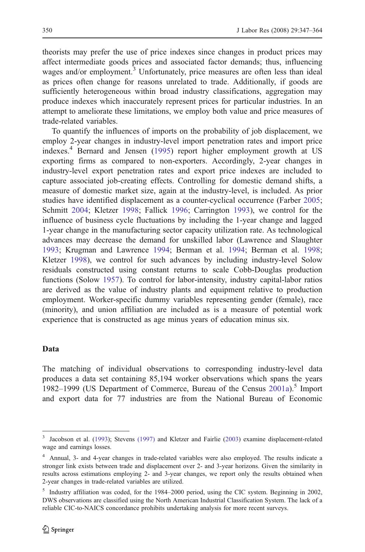theorists may prefer the use of price indexes since changes in product prices may affect intermediate goods prices and associated factor demands; thus, influencing wages and/or employment.<sup>3</sup> Unfortunately, price measures are often less than ideal as prices often change for reasons unrelated to trade. Additionally, if goods are sufficiently heterogeneous within broad industry classifications, aggregation may produce indexes which inaccurately represent prices for particular industries. In an attempt to ameliorate these limitations, we employ both value and price measures of trade-related variables.

To quantify the influences of imports on the probability of job displacement, we employ 2-year changes in industry-level import penetration rates and import price indexes.<sup>4</sup> Bernard and Jensen ([1995\)](#page-18-0) report higher employment growth at US exporting firms as compared to non-exporters. Accordingly, 2-year changes in industry-level export penetration rates and export price indexes are included to capture associated job-creating effects. Controlling for domestic demand shifts, a measure of domestic market size, again at the industry-level, is included. As prior studies have identified displacement as a counter-cyclical occurrence (Farber [2005;](#page-18-0) Schmitt [2004](#page-18-0); Kletzer [1998](#page-18-0); Fallick [1996](#page-18-0); Carrington [1993](#page-18-0)), we control for the influence of business cycle fluctuations by including the 1-year change and lagged 1-year change in the manufacturing sector capacity utilization rate. As technological advances may decrease the demand for unskilled labor (Lawrence and Slaughter [1993;](#page-18-0) Krugman and Lawrence [1994](#page-18-0); Berman et al. [1994](#page-17-0); Berman et al. [1998;](#page-17-0) Kletzer [1998\)](#page-18-0), we control for such advances by including industry-level Solow residuals constructed using constant returns to scale Cobb-Douglas production functions (Solow [1957\)](#page-18-0). To control for labor-intensity, industry capital-labor ratios are derived as the value of industry plants and equipment relative to production employment. Worker-specific dummy variables representing gender (female), race (minority), and union affiliation are included as is a measure of potential work experience that is constructed as age minus years of education minus six.

#### Data

The matching of individual observations to corresponding industry-level data produces a data set containing 85,194 worker observations which spans the years 1982–1999 (US Department of Commerce, Bureau of the Census  $2001a$ ).<sup>5</sup> Import and export data for 77 industries are from the National Bureau of Economic

<sup>3</sup> Jacobson et al. [\(1993\)](#page-18-0); Stevens [\(1997\)](#page-18-0) and Kletzer and Fairlie ([2003](#page-18-0)) examine displacement-related wage and earnings losses.

<sup>4</sup> Annual, 3- and 4-year changes in trade-related variables were also employed. The results indicate a stronger link exists between trade and displacement over 2- and 3-year horizons. Given the similarity in results across estimations employing 2- and 3-year changes, we report only the results obtained when 2-year changes in trade-related variables are utilized.

<sup>&</sup>lt;sup>5</sup> Industry affiliation was coded, for the 1984–2000 period, using the CIC system. Beginning in 2002, DWS observations are classified using the North American Industrial Classification System. The lack of a reliable CIC-to-NAICS concordance prohibits undertaking analysis for more recent surveys.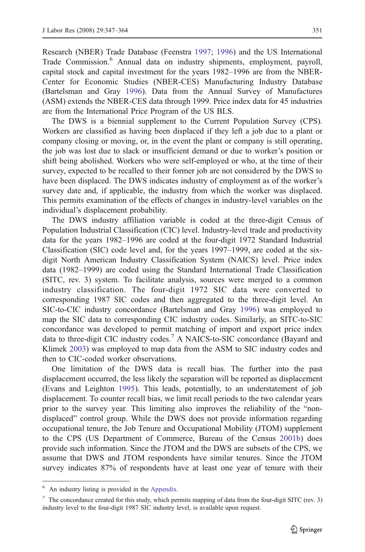Research (NBER) Trade Database (Feenstra [1997](#page-18-0); [1996\)](#page-18-0) and the US International Trade Commission.<sup>6</sup> Annual data on industry shipments, employment, payroll, capital stock and capital investment for the years 1982–1996 are from the NBER-Center for Economic Studies (NBER-CES) Manufacturing Industry Database (Bartelsman and Gray [1996](#page-17-0)). Data from the Annual Survey of Manufactures (ASM) extends the NBER-CES data through 1999. Price index data for 45 industries are from the International Price Program of the US BLS.

The DWS is a biennial supplement to the Current Population Survey (CPS). Workers are classified as having been displaced if they left a job due to a plant or company closing or moving, or, in the event the plant or company is still operating, the job was lost due to slack or insufficient demand or due to worker's position or shift being abolished. Workers who were self-employed or who, at the time of their survey, expected to be recalled to their former job are not considered by the DWS to have been displaced. The DWS indicates industry of employment as of the worker's survey date and, if applicable, the industry from which the worker was displaced. This permits examination of the effects of changes in industry-level variables on the individual's displacement probability.

The DWS industry affiliation variable is coded at the three-digit Census of Population Industrial Classification (CIC) level. Industry-level trade and productivity data for the years 1982–1996 are coded at the four-digit 1972 Standard Industrial Classification (SIC) code level and, for the years 1997–1999, are coded at the sixdigit North American Industry Classification System (NAICS) level. Price index data (1982–1999) are coded using the Standard International Trade Classification (SITC, rev. 3) system. To facilitate analysis, sources were merged to a common industry classification. The four-digit 1972 SIC data were converted to corresponding 1987 SIC codes and then aggregated to the three-digit level. An SIC-to-CIC industry concordance (Bartelsman and Gray [1996](#page-17-0)) was employed to map the SIC data to corresponding CIC industry codes. Similarly, an SITC-to-SIC concordance was developed to permit matching of import and export price index data to three-digit CIC industry codes.<sup>7</sup> A NAICS-to-SIC concordance (Bayard and Klimek [2003\)](#page-17-0) was employed to map data from the ASM to SIC industry codes and then to CIC-coded worker observations.

One limitation of the DWS data is recall bias. The further into the past displacement occurred, the less likely the separation will be reported as displacement (Evans and Leighton [1995\)](#page-18-0). This leads, potentially, to an understatement of job displacement. To counter recall bias, we limit recall periods to the two calendar years prior to the survey year. This limiting also improves the reliability of the "nondisplaced" control group. While the DWS does not provide information regarding occupational tenure, the Job Tenure and Occupational Mobility (JTOM) supplement to the CPS (US Department of Commerce, Bureau of the Census [2001b\)](#page-18-0) does provide such information. Since the JTOM and the DWS are subsets of the CPS, we assume that DWS and JTOM respondents have similar tenures. Since the JTOM survey indicates 87% of respondents have at least one year of tenure with their

<sup>6</sup> An industry listing is provided in the [Appendix.](#page-16-0)

 $7$  The concordance created for this study, which permits mapping of data from the four-digit SITC (rev. 3) industry level to the four-digit 1987 SIC industry level, is available upon request.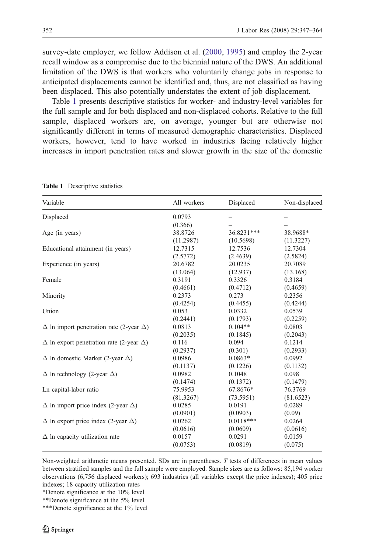survey-date employer, we follow Addison et al. [\(2000](#page-17-0), [1995\)](#page-17-0) and employ the 2-year recall window as a compromise due to the biennial nature of the DWS. An additional limitation of the DWS is that workers who voluntarily change jobs in response to anticipated displacements cannot be identified and, thus, are not classified as having been displaced. This also potentially understates the extent of job displacement.

Table 1 presents descriptive statistics for worker- and industry-level variables for the full sample and for both displaced and non-displaced cohorts. Relative to the full sample, displaced workers are, on average, younger but are otherwise not significantly different in terms of measured demographic characteristics. Displaced workers, however, tend to have worked in industries facing relatively higher increases in import penetration rates and slower growth in the size of the domestic

| Variable                                               | All workers | Displaced   | Non-displaced |
|--------------------------------------------------------|-------------|-------------|---------------|
| Displaced                                              | 0.0793      |             |               |
|                                                        | (0.366)     |             |               |
| Age (in years)                                         | 38.8726     | 36.8231***  | 38.9688*      |
|                                                        | (11.2987)   | (10.5698)   | (11.3227)     |
| Educational attainment (in years)                      | 12.7315     | 12.7536     | 12.7304       |
|                                                        | (2.5772)    | (2.4639)    | (2.5824)      |
| Experience (in years)                                  | 20.6782     | 20.0235     | 20.7089       |
|                                                        | (13.064)    | (12.937)    | (13.168)      |
| Female                                                 | 0.3191      | 0.3326      | 0.3184        |
|                                                        | (0.4661)    | (0.4712)    | (0.4659)      |
| Minority                                               | 0.2373      | 0.273       | 0.2356        |
|                                                        | (0.4254)    | (0.4455)    | (0.4244)      |
| Union                                                  | 0.053       | 0.0332      | 0.0539        |
|                                                        | (0.2441)    | (0.1793)    | (0.2259)      |
| $\Delta$ ln import penetration rate (2-year $\Delta$ ) | 0.0813      | $0.104**$   | 0.0803        |
|                                                        | (0.2035)    | (0.1845)    | (0.2043)      |
| $\Delta$ ln export penetration rate (2-year $\Delta$ ) | 0.116       | 0.094       | 0.1214        |
|                                                        | (0.2937)    | (0.301)     | (0.2933)      |
| $\Delta$ ln domestic Market (2-year $\Delta$ )         | 0.0986      | $0.0863*$   | 0.0992        |
|                                                        | (0.1137)    | (0.1226)    | (0.1132)      |
| $\Delta$ ln technology (2-year $\Delta$ )              | 0.0982      | 0.1048      | 0.098         |
|                                                        | (0.1474)    | (0.1372)    | (0.1479)      |
| Ln capital-labor ratio                                 | 75.9953     | 67.8676*    | 76.3769       |
|                                                        | (81.3267)   | (73.5951)   | (81.6523)     |
| $\Delta$ ln import price index (2-year $\Delta$ )      | 0.0285      | 0.0191      | 0.0289        |
|                                                        | (0.0901)    | (0.0903)    | (0.09)        |
| $\Delta$ ln export price index (2-year $\Delta$ )      | 0.0262      | $0.0118***$ | 0.0264        |
|                                                        | (0.0616)    | (0.0609)    | (0.0616)      |
| $\Delta$ ln capacity utilization rate                  | 0.0157      | 0.0291      | 0.0159        |
|                                                        | (0.0753)    | (0.0819)    | (0.075)       |

Table 1 Descriptive statistics

Non-weighted arithmetic means presented. SDs are in parentheses. T tests of differences in mean values between stratified samples and the full sample were employed. Sample sizes are as follows: 85,194 worker observations (6,756 displaced workers); 693 industries (all variables except the price indexes); 405 price indexes; 18 capacity utilization rates

\*Denote significance at the 10% level

\*\*Denote significance at the 5% level

\*\*\*Denote significance at the 1% level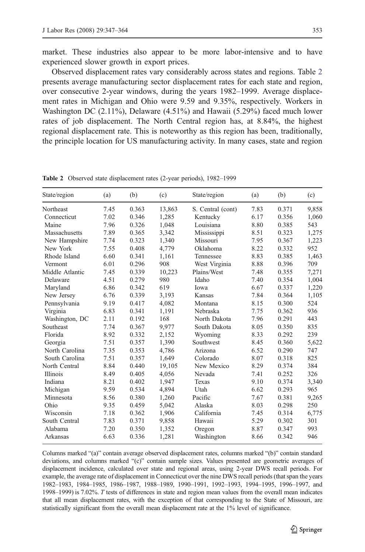<span id="page-7-0"></span>market. These industries also appear to be more labor-intensive and to have experienced slower growth in export prices.

Observed displacement rates vary considerably across states and regions. Table 2 presents average manufacturing sector displacement rates for each state and region, over consecutive 2-year windows, during the years 1982–1999. Average displacement rates in Michigan and Ohio were 9.59 and 9.35%, respectively. Workers in Washington DC (2.11%), Delaware (4.51%) and Hawaii (5.29%) faced much lower rates of job displacement. The North Central region has, at 8.84%, the highest regional displacement rate. This is noteworthy as this region has been, traditionally, the principle location for US manufacturing activity. In many cases, state and region

| State/region    | (a)  | (b)   | (c)    | State/region      | (a)  | (b)   | (c)   |
|-----------------|------|-------|--------|-------------------|------|-------|-------|
| Northeast       | 7.45 | 0.363 | 13,863 | S. Central (cont) | 7.83 | 0.371 | 9,858 |
| Connecticut     | 7.02 | 0.346 | 1,285  | Kentucky          | 6.17 | 0.356 | 1,060 |
| Maine           | 7.96 | 0.326 | 1,048  | Louisiana         | 8.80 | 0.385 | 543   |
| Massachusetts   | 7.89 | 0.365 | 3,342  | Mississippi       | 8.51 | 0.323 | 1,275 |
| New Hampshire   | 7.74 | 0.323 | 1,340  | Missouri          | 7.95 | 0.367 | 1,223 |
| New York        | 7.55 | 0.408 | 4,779  | Oklahoma          | 8.22 | 0.332 | 952   |
| Rhode Island    | 6.60 | 0.341 | 1,161  | Tennessee         | 8.83 | 0.385 | 1,463 |
| Vermont         | 6.01 | 0.296 | 908    | West Virginia     | 8.88 | 0.396 | 709   |
| Middle Atlantic | 7.45 | 0.339 | 10,223 | Plains/West       | 7.48 | 0.355 | 7,271 |
| Delaware        | 4.51 | 0.279 | 980    | Idaho             | 7.40 | 0.354 | 1,004 |
| Maryland        | 6.86 | 0.342 | 619    | Iowa              | 6.67 | 0.337 | 1,220 |
| New Jersey      | 6.76 | 0.339 | 3,193  | Kansas            | 7.84 | 0.364 | 1,105 |
| Pennsylvania    | 9.19 | 0.417 | 4,082  | Montana           | 8.15 | 0.300 | 524   |
| Virginia        | 6.83 | 0.341 | 1,191  | Nebraska          | 7.75 | 0.362 | 936   |
| Washington, DC  | 2.11 | 0.192 | 168    | North Dakota      | 7.96 | 0.291 | 443   |
| Southeast       | 7.74 | 0.367 | 9,977  | South Dakota      | 8.05 | 0.350 | 835   |
| Florida         | 8.92 | 0.332 | 2,152  | Wyoming           | 8.33 | 0.292 | 239   |
| Georgia         | 7.51 | 0.357 | 1,390  | Southwest         | 8.45 | 0.360 | 5,622 |
| North Carolina  | 7.35 | 0.353 | 4,786  | Arizona           | 6.52 | 0.290 | 747   |
| South Carolina  | 7.51 | 0.357 | 1,649  | Colorado          | 8.07 | 0.318 | 825   |
| North Central   | 8.84 | 0.440 | 19,105 | New Mexico        | 8.29 | 0.374 | 384   |
| <b>Illinois</b> | 8.49 | 0.405 | 4,056  | Nevada            | 7.41 | 0.252 | 326   |
| Indiana         | 8.21 | 0.402 | 1,947  | Texas             | 9.10 | 0.374 | 3,340 |
| Michigan        | 9.59 | 0.534 | 4,894  | Utah              | 6.62 | 0.293 | 965   |
| Minnesota       | 8.56 | 0.380 | 1,260  | Pacific           | 7.67 | 0.381 | 9,265 |
| Ohio            | 9.35 | 0.459 | 5,042  | Alaska            | 8.03 | 0.298 | 250   |
| Wisconsin       | 7.18 | 0.362 | 1,906  | California        | 7.45 | 0.314 | 6,775 |
| South Central   | 7.83 | 0.371 | 9,858  | Hawaii            | 5.29 | 0.302 | 301   |
| Alabama         | 7.20 | 0.350 | 1,352  | Oregon            | 8.87 | 0.347 | 993   |
| Arkansas        | 6.63 | 0.336 | 1,281  | Washington        | 8.66 | 0.342 | 946   |

Table 2 Observed state displacement rates (2-year periods), 1982–1999

Columns marked "(a)" contain average observed displacement rates, columns marked "(b)" contain standard deviations, and columns marked "(c)" contain sample sizes. Values presented are geometric averages of displacement incidence, calculated over state and regional areas, using 2-year DWS recall periods. For example, the average rate of displacement in Connecticut over the nine DWS recall periods (that span the years 1982–1983, 1984–1985, 1986–1987, 1988–1989, 1990–1991, 1992–1993, 1994–1995, 1996–1997, and 1998–1999) is 7.02%. T tests of differences in state and region mean values from the overall mean indicates that all mean displacement rates, with the exception of that corresponding to the State of Missouri, are statistically significant from the overall mean displacement rate at the 1% level of significance.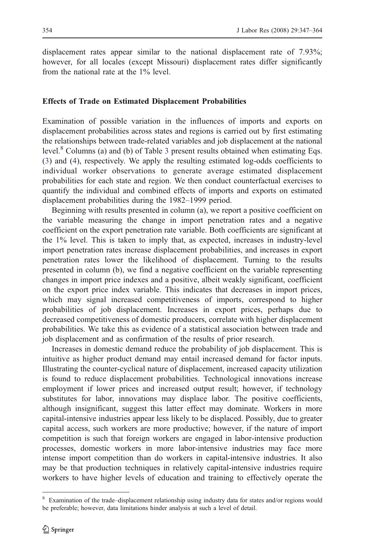displacement rates appear similar to the national displacement rate of 7.93%; however, for all locales (except Missouri) displacement rates differ significantly from the national rate at the 1% level.

#### Effects of Trade on Estimated Displacement Probabilities

Examination of possible variation in the influences of imports and exports on displacement probabilities across states and regions is carried out by first estimating the relationships between trade-related variables and job displacement at the national level. $8$  Columns (a) and (b) of Table [3](#page-9-0) present results obtained when estimating Eqs. [\(3](#page-3-0)) and [\(4](#page-3-0)), respectively. We apply the resulting estimated log-odds coefficients to individual worker observations to generate average estimated displacement probabilities for each state and region. We then conduct counterfactual exercises to quantify the individual and combined effects of imports and exports on estimated displacement probabilities during the 1982–1999 period.

Beginning with results presented in column (a), we report a positive coefficient on the variable measuring the change in import penetration rates and a negative coefficient on the export penetration rate variable. Both coefficients are significant at the 1% level. This is taken to imply that, as expected, increases in industry-level import penetration rates increase displacement probabilities, and increases in export penetration rates lower the likelihood of displacement. Turning to the results presented in column (b), we find a negative coefficient on the variable representing changes in import price indexes and a positive, albeit weakly significant, coefficient on the export price index variable. This indicates that decreases in import prices, which may signal increased competitiveness of imports, correspond to higher probabilities of job displacement. Increases in export prices, perhaps due to decreased competitiveness of domestic producers, correlate with higher displacement probabilities. We take this as evidence of a statistical association between trade and job displacement and as confirmation of the results of prior research.

Increases in domestic demand reduce the probability of job displacement. This is intuitive as higher product demand may entail increased demand for factor inputs. Illustrating the counter-cyclical nature of displacement, increased capacity utilization is found to reduce displacement probabilities. Technological innovations increase employment if lower prices and increased output result; however, if technology substitutes for labor, innovations may displace labor. The positive coefficients, although insignificant, suggest this latter effect may dominate. Workers in more capital-intensive industries appear less likely to be displaced. Possibly, due to greater capital access, such workers are more productive; however, if the nature of import competition is such that foreign workers are engaged in labor-intensive production processes, domestic workers in more labor-intensive industries may face more intense import competition than do workers in capital-intensive industries. It also may be that production techniques in relatively capital-intensive industries require workers to have higher levels of education and training to effectively operate the

<sup>8</sup> Examination of the trade–displacement relationship using industry data for states and/or regions would be preferable; however, data limitations hinder analysis at such a level of detail.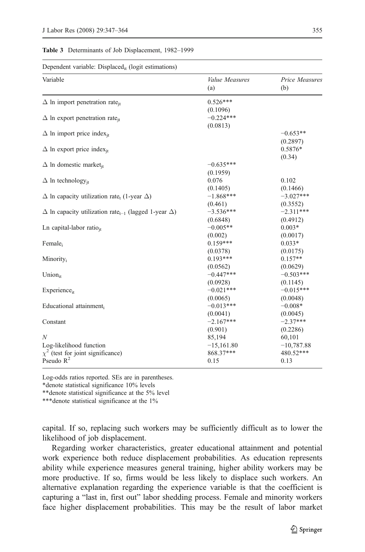#### <span id="page-9-0"></span>Table 3 Determinants of Job Displacement, 1982–1999

Dependent variable:  $Displaced_{it}$  (logit estimations)

| Variable                                                                          | Value Measures<br>(a)               | <b>Price Measures</b><br>(b)       |
|-----------------------------------------------------------------------------------|-------------------------------------|------------------------------------|
| $\Delta$ ln import penetration rate <sub>it</sub>                                 | $0.526***$                          |                                    |
| $\Delta$ ln export penetration rate <sub>it</sub>                                 | (0.1096)<br>$-0.224***$<br>(0.0813) |                                    |
| $\Delta$ ln import price index <sub>it</sub>                                      |                                     | $-0.653**$                         |
| $\Delta$ ln export price index <sub>it</sub>                                      |                                     | (0.2897)<br>0.5876*                |
| $\Delta$ ln domestic market <sub>it</sub>                                         | $-0.635***$<br>(0.1959)             | (0.34)                             |
| $\Delta$ ln technology <sub>it</sub>                                              | 0.076<br>(0.1405)                   | 0.102<br>(0.1466)                  |
| $\Delta$ ln capacity utilization rate <sub>t</sub> (1-year $\Delta$ )             | $-1.868***$<br>(0.461)              | $-3.027***$<br>(0.3552)            |
| $\Delta$ ln capacity utilization rate <sub>t-1</sub> (lagged 1-year $\Delta$ )    | $-3.536***$                         | $-2.311***$                        |
| Ln capital-labor ratio $_{it}$                                                    | (0.6848)<br>$-0.005**$              | (0.4912)<br>$0.003*$               |
| Female                                                                            | (0.002)<br>$0.159***$               | (0.0017)<br>$0.033*$               |
| Minority <sub>i</sub>                                                             | (0.0378)<br>$0.193***$<br>(0.0562)  | (0.0175)<br>$0.157**$<br>(0.0629)  |
| $Union_{it}$                                                                      | $-0.447***$<br>(0.0928)             | $-0.503***$<br>(0.1145)            |
| Experience <sub>it</sub>                                                          | $-0.021***$<br>(0.0065)             | $-0.015***$<br>(0.0048)            |
| Educational attainment.                                                           | $-0.013***$                         | $-0.008*$                          |
| Constant                                                                          | (0.0041)<br>$-2.167***$<br>(0.901)  | (0.0045)<br>$-2.37***$<br>(0.2286) |
| N                                                                                 | 85,194                              | 60,101                             |
| Log-likelihood function<br>$\chi^2$ (test for joint significance)<br>Pseudo $R^2$ | $-15,161.80$<br>868.37***<br>0.15   | $-10,787.88$<br>480.52***<br>0.13  |

Log-odds ratios reported. SEs are in parentheses.

\*denote statistical significance 10% levels

\*\*denote statistical significance at the 5% level

\*\*\*denote statistical significance at the 1%

capital. If so, replacing such workers may be sufficiently difficult as to lower the likelihood of job displacement.

Regarding worker characteristics, greater educational attainment and potential work experience both reduce displacement probabilities. As education represents ability while experience measures general training, higher ability workers may be more productive. If so, firms would be less likely to displace such workers. An alternative explanation regarding the experience variable is that the coefficient is capturing a "last in, first out" labor shedding process. Female and minority workers face higher displacement probabilities. This may be the result of labor market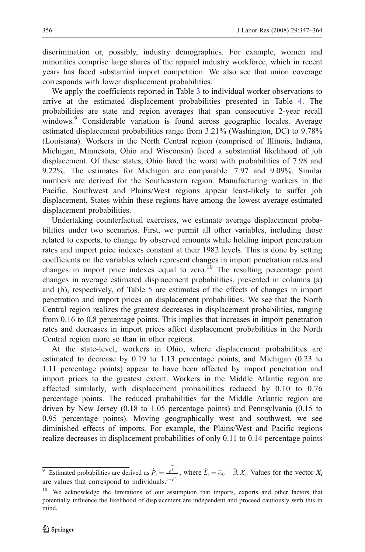discrimination or, possibly, industry demographics. For example, women and minorities comprise large shares of the apparel industry workforce, which in recent years has faced substantial import competition. We also see that union coverage corresponds with lower displacement probabilities.

We apply the coefficients reported in Table [3](#page-9-0) to individual worker observations to arrive at the estimated displacement probabilities presented in Table [4](#page-11-0). The probabilities are state and region averages that span consecutive 2-year recall windows.<sup>9</sup> Considerable variation is found across geographic locales. Average estimated displacement probabilities range from 3.21% (Washington, DC) to 9.78% (Louisiana). Workers in the North Central region (comprised of Illinois, Indiana, Michigan, Minnesota, Ohio and Wisconsin) faced a substantial likelihood of job displacement. Of these states, Ohio fared the worst with probabilities of 7.98 and 9.22%. The estimates for Michigan are comparable: 7.97 and 9.09%. Similar numbers are derived for the Southeastern region. Manufacturing workers in the Pacific, Southwest and Plains/West regions appear least-likely to suffer job displacement. States within these regions have among the lowest average estimated displacement probabilities.

Undertaking counterfactual exercises, we estimate average displacement probabilities under two scenarios. First, we permit all other variables, including those related to exports, to change by observed amounts while holding import penetration rates and import price indexes constant at their 1982 levels. This is done by setting coefficients on the variables which represent changes in import penetration rates and changes in import price indexes equal to zero.<sup>10</sup> The resulting percentage point changes in average estimated displacement probabilities, presented in columns (a) and (b), respectively, of Table [5](#page-12-0) are estimates of the effects of changes in import penetration and import prices on displacement probabilities. We see that the North Central region realizes the greatest decreases in displacement probabilities, ranging from 0.16 to 0.8 percentage points. This implies that increases in import penetration rates and decreases in import prices affect displacement probabilities in the North Central region more so than in other regions.

At the state-level, workers in Ohio, where displacement probabilities are estimated to decrease by 0.19 to 1.13 percentage points, and Michigan (0.23 to 1.11 percentage points) appear to have been affected by import penetration and import prices to the greatest extent. Workers in the Middle Atlantic region are affected similarly, with displacement probabilities reduced by 0.10 to 0.76 percentage points. The reduced probabilities for the Middle Atlantic region are driven by New Jersey (0.18 to 1.05 percentage points) and Pennsylvania (0.15 to 0.95 percentage points). Moving geographically west and southwest, we see diminished effects of imports. For example, the Plains/West and Pacific regions realize decreases in displacement probabilities of only 0.11 to 0.14 percentage points

<sup>&</sup>lt;sup>9</sup> Estimated probabilities are derived as  $\hat{P}_i = \frac{e^{L_i}}{16}$ <sup>9</sup> Estimated probabilities are derived as  $\hat{P}_i = \frac{e^{kt}}{2}$ , where  $\hat{L}_i = \hat{\alpha}_0 + \hat{\beta}_x X_i$ . Values for the vector  $X_i$  are values that correspond to individuals.<sup>1+e $\hat{\alpha}_i$ </sup>

<sup>&</sup>lt;sup>10</sup> We acknowledge the limitations of our assumption that imports, exports and other factors that potentially influence the likelihood of displacement are independent and proceed cautiously with this in mind.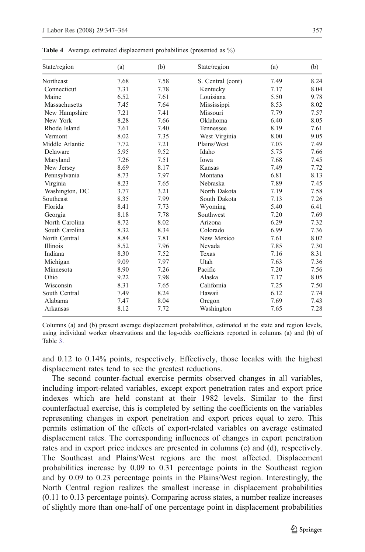| State/region    | (a)  | (b)  | State/region      | (a)  | (b)  |
|-----------------|------|------|-------------------|------|------|
| Northeast       | 7.68 | 7.58 | S. Central (cont) | 7.49 | 8.24 |
| Connecticut     | 7.31 | 7.78 | Kentucky          | 7.17 | 8.04 |
| Maine           | 6.52 | 7.61 | Louisiana         | 5.50 | 9.78 |
| Massachusetts   | 7.45 | 7.64 | Mississippi       | 8.53 | 8.02 |
| New Hampshire   | 7.21 | 7.41 | Missouri          | 7.79 | 7.57 |
| New York        | 8.28 | 7.66 | Oklahoma          | 6.40 | 8.05 |
| Rhode Island    | 7.61 | 7.40 | Tennessee         | 8.19 | 7.61 |
| Vermont         | 8.02 | 7.35 | West Virginia     | 8.00 | 9.05 |
| Middle Atlantic | 7.72 | 7.21 | Plains/West       | 7.03 | 7.49 |
| Delaware        | 5.95 | 9.52 | Idaho             | 5.75 | 7.66 |
| Maryland        | 7.26 | 7.51 | Iowa              | 7.68 | 7.45 |
| New Jersey      | 8.69 | 8.17 | Kansas            | 7.49 | 7.72 |
| Pennsylvania    | 8.73 | 7.97 | Montana           | 6.81 | 8.13 |
| Virginia        | 8.23 | 7.65 | Nebraska          | 7.89 | 7.45 |
| Washington, DC  | 3.77 | 3.21 | North Dakota      | 7.19 | 7.58 |
| Southeast       | 8.35 | 7.99 | South Dakota      | 7.13 | 7.26 |
| Florida         | 8.41 | 7.73 | Wyoming           | 5.40 | 6.41 |
| Georgia         | 8.18 | 7.78 | Southwest         | 7.20 | 7.69 |
| North Carolina  | 8.72 | 8.02 | Arizona           | 6.29 | 7.32 |
| South Carolina  | 8.32 | 8.34 | Colorado          | 6.99 | 7.36 |
| North Central   | 8.84 | 7.81 | New Mexico        | 7.61 | 8.02 |
| <b>Illinois</b> | 8.52 | 7.96 | Nevada            | 7.85 | 7.30 |
| Indiana         | 8.30 | 7.52 | Texas             | 7.16 | 8.31 |
| Michigan        | 9.09 | 7.97 | Utah              | 7.63 | 7.36 |
| Minnesota       | 8.90 | 7.26 | Pacific           | 7.20 | 7.56 |
| Ohio            | 9.22 | 7.98 | Alaska            | 7.17 | 8.05 |
| Wisconsin       | 8.31 | 7.65 | California        | 7.25 | 7.50 |
| South Central   | 7.49 | 8.24 | Hawaii            | 6.12 | 7.74 |
| Alabama         | 7.47 | 8.04 | Oregon            | 7.69 | 7.43 |
| Arkansas        | 8.12 | 7.72 | Washington        | 7.65 | 7.28 |

<span id="page-11-0"></span>Table 4 Average estimated displacement probabilities (presented as %)

Columns (a) and (b) present average displacement probabilities, estimated at the state and region levels, using individual worker observations and the log-odds coefficients reported in columns (a) and (b) of Table [3](#page-9-0).

and 0.12 to 0.14% points, respectively. Effectively, those locales with the highest displacement rates tend to see the greatest reductions.

The second counter-factual exercise permits observed changes in all variables, including import-related variables, except export penetration rates and export price indexes which are held constant at their 1982 levels. Similar to the first counterfactual exercise, this is completed by setting the coefficients on the variables representing changes in export penetration and export prices equal to zero. This permits estimation of the effects of export-related variables on average estimated displacement rates. The corresponding influences of changes in export penetration rates and in export price indexes are presented in columns (c) and (d), respectively. The Southeast and Plains/West regions are the most affected. Displacement probabilities increase by 0.09 to 0.31 percentage points in the Southeast region and by 0.09 to 0.23 percentage points in the Plains/West region. Interestingly, the North Central region realizes the smallest increase in displacement probabilities (0.11 to 0.13 percentage points). Comparing across states, a number realize increases of slightly more than one-half of one percentage point in displacement probabilities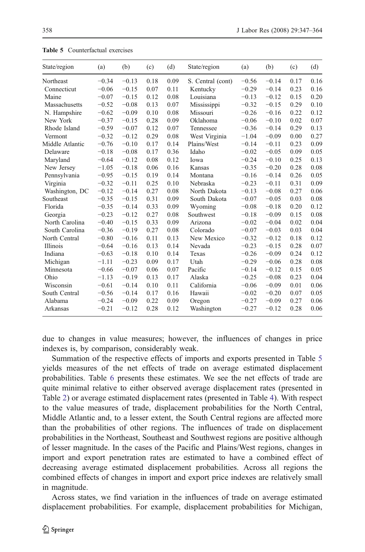| State/region    | (a)     | (b)     | (c)  | (d)  | State/region      | (a)     | (b)     | (c)  | (d)  |
|-----------------|---------|---------|------|------|-------------------|---------|---------|------|------|
| Northeast       | $-0.34$ | $-0.13$ | 0.18 | 0.09 | S. Central (cont) | $-0.56$ | $-0.14$ | 0.17 | 0.16 |
| Connecticut     | $-0.06$ | $-0.15$ | 0.07 | 0.11 | Kentucky          | $-0.29$ | $-0.14$ | 0.23 | 0.16 |
| Maine           | $-0.07$ | $-0.15$ | 0.12 | 0.08 | Louisiana         | $-0.13$ | $-0.12$ | 0.15 | 0.20 |
| Massachusetts   | $-0.52$ | $-0.08$ | 0.13 | 0.07 | Mississippi       | $-0.32$ | $-0.15$ | 0.29 | 0.10 |
| N. Hampshire    | $-0.62$ | $-0.09$ | 0.10 | 0.08 | Missouri          | $-0.26$ | $-0.16$ | 0.22 | 0.12 |
| New York        | $-0.37$ | $-0.15$ | 0.28 | 0.09 | Oklahoma          | $-0.06$ | $-0.10$ | 0.02 | 0.07 |
| Rhode Island    | $-0.59$ | $-0.07$ | 0.12 | 0.07 | Tennessee         | $-0.36$ | $-0.14$ | 0.29 | 0.13 |
| Vermont         | $-0.32$ | $-0.12$ | 0.29 | 0.08 | West Virginia     | $-1.04$ | $-0.09$ | 0.00 | 0.27 |
| Middle Atlantic | $-0.76$ | $-0.10$ | 0.17 | 0.14 | Plains/West       | $-0.14$ | $-0.11$ | 0.23 | 0.09 |
| Delaware        | $-0.18$ | $-0.08$ | 0.17 | 0.36 | Idaho             | $-0.02$ | $-0.05$ | 0.09 | 0.05 |
| Maryland        | $-0.64$ | $-0.12$ | 0.08 | 0.12 | Iowa              | $-0.24$ | $-0.10$ | 0.25 | 0.13 |
| New Jersey      | $-1.05$ | $-0.18$ | 0.06 | 0.16 | Kansas            | $-0.35$ | $-0.20$ | 0.28 | 0.08 |
| Pennsylvania    | $-0.95$ | $-0.15$ | 0.19 | 0.14 | Montana           | $-0.16$ | $-0.14$ | 0.26 | 0.05 |
| Virginia        | $-0.32$ | $-0.11$ | 0.25 | 0.10 | Nebraska          | $-0.23$ | $-0.11$ | 0.31 | 0.09 |
| Washington, DC  | $-0.12$ | $-0.14$ | 0.27 | 0.08 | North Dakota      | $-0.13$ | $-0.08$ | 0.27 | 0.06 |
| Southeast       | $-0.35$ | $-0.15$ | 0.31 | 0.09 | South Dakota      | $-0.07$ | $-0.05$ | 0.03 | 0.08 |
| Florida         | $-0.35$ | $-0.14$ | 0.33 | 0.09 | Wyoming           | $-0.08$ | $-0.18$ | 0.20 | 0.12 |
| Georgia         | $-0.23$ | $-0.12$ | 0.27 | 0.08 | Southwest         | $-0.18$ | $-0.09$ | 0.15 | 0.08 |
| North Carolina  | $-0.40$ | $-0.15$ | 0.33 | 0.09 | Arizona           | $-0.02$ | $-0.04$ | 0.02 | 0.04 |
| South Carolina  | $-0.36$ | $-0.19$ | 0.27 | 0.08 | Colorado          | $-0.07$ | $-0.03$ | 0.03 | 0.04 |
| North Central   | $-0.80$ | $-0.16$ | 0.11 | 0.13 | New Mexico        | $-0.32$ | $-0.12$ | 0.18 | 0.12 |
| Illinois        | $-0.64$ | $-0.16$ | 0.13 | 0.14 | Nevada            | $-0.23$ | $-0.15$ | 0.28 | 0.07 |
| Indiana         | $-0.63$ | $-0.18$ | 0.10 | 0.14 | Texas             | $-0.26$ | $-0.09$ | 0.24 | 0.12 |
| Michigan        | $-1.11$ | $-0.23$ | 0.09 | 0.17 | Utah              | $-0.29$ | $-0.06$ | 0.28 | 0.08 |
| Minnesota       | $-0.66$ | $-0.07$ | 0.06 | 0.07 | Pacific           | $-0.14$ | $-0.12$ | 0.15 | 0.05 |
| Ohio            | $-1.13$ | $-0.19$ | 0.13 | 0.17 | Alaska            | $-0.25$ | $-0.08$ | 0.23 | 0.04 |
| Wisconsin       | $-0.61$ | $-0.14$ | 0.10 | 0.11 | California        | $-0.06$ | $-0.09$ | 0.01 | 0.06 |
| South Central   | $-0.56$ | $-0.14$ | 0.17 | 0.16 | Hawaii            | $-0.02$ | $-0.20$ | 0.07 | 0.05 |
| Alabama         | $-0.24$ | $-0.09$ | 0.22 | 0.09 | Oregon            | $-0.27$ | $-0.09$ | 0.27 | 0.06 |
| Arkansas        | $-0.21$ | $-0.12$ | 0.28 | 0.12 | Washington        | $-0.27$ | $-0.12$ | 0.28 | 0.06 |

<span id="page-12-0"></span>Table 5 Counterfactual exercises

due to changes in value measures; however, the influences of changes in price indexes is, by comparison, considerably weak.

Summation of the respective effects of imports and exports presented in Table 5 yields measures of the net effects of trade on average estimated displacement probabilities. Table [6](#page-13-0) presents these estimates. We see the net effects of trade are quite minimal relative to either observed average displacement rates (presented in Table [2](#page-7-0)) or average estimated displacement rates (presented in Table [4](#page-11-0)). With respect to the value measures of trade, displacement probabilities for the North Central, Middle Atlantic and, to a lesser extent, the South Central regions are affected more than the probabilities of other regions. The influences of trade on displacement probabilities in the Northeast, Southeast and Southwest regions are positive although of lesser magnitude. In the cases of the Pacific and Plains/West regions, changes in import and export penetration rates are estimated to have a combined effect of decreasing average estimated displacement probabilities. Across all regions the combined effects of changes in import and export price indexes are relatively small in magnitude.

Across states, we find variation in the influences of trade on average estimated displacement probabilities. For example, displacement probabilities for Michigan,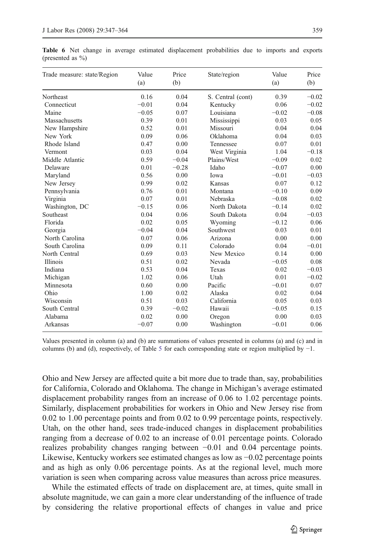| Trade measure: state/Region | Value   | Price   | State/region      | Value   | Price   |
|-----------------------------|---------|---------|-------------------|---------|---------|
|                             | (a)     | (b)     |                   | (a)     | (b)     |
| Northeast                   | 0.16    | 0.04    | S. Central (cont) | 0.39    | $-0.02$ |
| Connecticut                 | $-0.01$ | 0.04    | Kentucky          | 0.06    | $-0.02$ |
| Maine                       | $-0.05$ | 0.07    | Louisiana         | $-0.02$ | $-0.08$ |
| Massachusetts               | 0.39    | 0.01    | Mississippi       | 0.03    | 0.05    |
| New Hampshire               | 0.52    | 0.01    | Missouri          | 0.04    | 0.04    |
| New York                    | 0.09    | 0.06    | Oklahoma          | 0.04    | 0.03    |
| Rhode Island                | 0.47    | 0.00    | Tennessee         | 0.07    | 0.01    |
| Vermont                     | 0.03    | 0.04    | West Virginia     | 1.04    | $-0.18$ |
| Middle Atlantic             | 0.59    | $-0.04$ | Plains/West       | $-0.09$ | 0.02    |
| Delaware                    | 0.01    | $-0.28$ | Idaho             | $-0.07$ | 0.00    |
| Maryland                    | 0.56    | 0.00    | Iowa              | $-0.01$ | $-0.03$ |
| New Jersey                  | 0.99    | 0.02    | Kansas            | 0.07    | 0.12    |
| Pennsylvania                | 0.76    | 0.01    | Montana           | $-0.10$ | 0.09    |
| Virginia                    | 0.07    | 0.01    | Nebraska          | $-0.08$ | 0.02    |
| Washington, DC              | $-0.15$ | 0.06    | North Dakota      | $-0.14$ | 0.02    |
| Southeast                   | 0.04    | 0.06    | South Dakota      | 0.04    | $-0.03$ |
| Florida                     | 0.02    | 0.05    | Wyoming           | $-0.12$ | 0.06    |
| Georgia                     | $-0.04$ | 0.04    | Southwest         | 0.03    | 0.01    |
| North Carolina              | 0.07    | 0.06    | Arizona           | 0.00    | 0.00    |
| South Carolina              | 0.09    | 0.11    | Colorado          | 0.04    | $-0.01$ |
| North Central               | 0.69    | 0.03    | New Mexico        | 0.14    | 0.00    |
| Illinois                    | 0.51    | 0.02    | Nevada            | $-0.05$ | 0.08    |
| Indiana                     | 0.53    | 0.04    | Texas             | 0.02    | $-0.03$ |
| Michigan                    | 1.02    | 0.06    | Utah              | 0.01    | $-0.02$ |
| Minnesota                   | 0.60    | 0.00    | Pacific           | $-0.01$ | 0.07    |
| Ohio                        | 1.00    | 0.02    | Alaska            | 0.02    | 0.04    |
| Wisconsin                   | 0.51    | 0.03    | California        | 0.05    | 0.03    |
| South Central               | 0.39    | $-0.02$ | Hawaii            | $-0.05$ | 0.15    |
| Alabama                     | 0.02    | 0.00    | Oregon            | 0.00    | 0.03    |
| Arkansas                    | $-0.07$ | 0.00    | Washington        | $-0.01$ | 0.06    |

<span id="page-13-0"></span>Table 6 Net change in average estimated displacement probabilities due to imports and exports (presented as  $\%$ )

Values presented in column (a) and (b) are summations of values presented in columns (a) and (c) and in columns (b) and (d), respectively, of Table [5](#page-12-0) for each corresponding state or region multiplied by −1.

Ohio and New Jersey are affected quite a bit more due to trade than, say, probabilities for California, Colorado and Oklahoma. The change in Michigan's average estimated displacement probability ranges from an increase of 0.06 to 1.02 percentage points. Similarly, displacement probabilities for workers in Ohio and New Jersey rise from 0.02 to 1.00 percentage points and from 0.02 to 0.99 percentage points, respectively. Utah, on the other hand, sees trade-induced changes in displacement probabilities ranging from a decrease of 0.02 to an increase of 0.01 percentage points. Colorado realizes probability changes ranging between −0.01 and 0.04 percentage points. Likewise, Kentucky workers see estimated changes as low as −0.02 percentage points and as high as only 0.06 percentage points. As at the regional level, much more variation is seen when comparing across value measures than across price measures.

While the estimated effects of trade on displacement are, at times, quite small in absolute magnitude, we can gain a more clear understanding of the influence of trade by considering the relative proportional effects of changes in value and price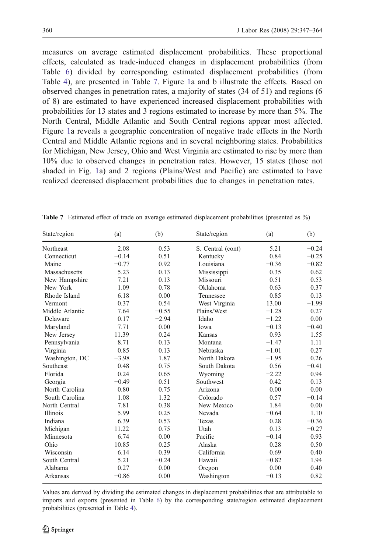<span id="page-14-0"></span>measures on average estimated displacement probabilities. These proportional effects, calculated as trade-induced changes in displacement probabilities (from Table [6](#page-13-0)) divided by corresponding estimated displacement probabilities (from Table [4](#page-11-0)), are presented in Table 7. Figure [1](#page-15-0)a and b illustrate the effects. Based on observed changes in penetration rates, a majority of states (34 of 51) and regions (6 of 8) are estimated to have experienced increased displacement probabilities with probabilities for 13 states and 3 regions estimated to increase by more than 5%. The North Central, Middle Atlantic and South Central regions appear most affected. Figure [1](#page-15-0)a reveals a geographic concentration of negative trade effects in the North Central and Middle Atlantic regions and in several neighboring states. Probabilities for Michigan, New Jersey, Ohio and West Virginia are estimated to rise by more than 10% due to observed changes in penetration rates. However, 15 states (those not shaded in Fig. [1a](#page-15-0)) and 2 regions (Plains/West and Pacific) are estimated to have realized decreased displacement probabilities due to changes in penetration rates.

| State/region    | (a)     | (b)     | State/region      | (a)     | (b)     |
|-----------------|---------|---------|-------------------|---------|---------|
| Northeast       | 2.08    | 0.53    | S. Central (cont) | 5.21    | $-0.24$ |
| Connecticut     | $-0.14$ | 0.51    | Kentucky          | 0.84    | $-0.25$ |
| Maine           | $-0.77$ | 0.92    | Louisiana         | $-0.36$ | $-0.82$ |
| Massachusetts   | 5.23    | 0.13    | Mississippi       | 0.35    | 0.62    |
| New Hampshire   | 7.21    | 0.13    | Missouri          | 0.51    | 0.53    |
| New York        | 1.09    | 0.78    | Oklahoma          | 0.63    | 0.37    |
| Rhode Island    | 6.18    | 0.00    | Tennessee         | 0.85    | 0.13    |
| Vermont         | 0.37    | 0.54    | West Virginia     | 13.00   | $-1.99$ |
| Middle Atlantic | 7.64    | $-0.55$ | Plains/West       | $-1.28$ | 0.27    |
| Delaware        | 0.17    | $-2.94$ | Idaho             | $-1.22$ | 0.00    |
| Maryland        | 7.71    | 0.00    | Iowa              | $-0.13$ | $-0.40$ |
| New Jersey      | 11.39   | 0.24    | Kansas            | 0.93    | 1.55    |
| Pennsylvania    | 8.71    | 0.13    | Montana           | $-1.47$ | 1.11    |
| Virginia        | 0.85    | 0.13    | Nebraska          | $-1.01$ | 0.27    |
| Washington, DC  | $-3.98$ | 1.87    | North Dakota      | $-1.95$ | 0.26    |
| Southeast       | 0.48    | 0.75    | South Dakota      | 0.56    | $-0.41$ |
| Florida         | 0.24    | 0.65    | Wyoming           | $-2.22$ | 0.94    |
| Georgia         | $-0.49$ | 0.51    | Southwest         | 0.42    | 0.13    |
| North Carolina  | 0.80    | 0.75    | Arizona           | 0.00    | 0.00    |
| South Carolina  | 1.08    | 1.32    | Colorado          | 0.57    | $-0.14$ |
| North Central   | 7.81    | 0.38    | New Mexico        | 1.84    | 0.00    |
| <b>Illinois</b> | 5.99    | 0.25    | Nevada            | $-0.64$ | 1.10    |
| Indiana         | 6.39    | 0.53    | Texas             | 0.28    | $-0.36$ |
| Michigan        | 11.22   | 0.75    | Utah              | 0.13    | $-0.27$ |
| Minnesota       | 6.74    | 0.00    | Pacific           | $-0.14$ | 0.93    |
| Ohio            | 10.85   | 0.25    | Alaska            | 0.28    | 0.50    |
| Wisconsin       | 6.14    | 0.39    | California        | 0.69    | 0.40    |
| South Central   | 5.21    | $-0.24$ | Hawaii            | $-0.82$ | 1.94    |
| Alabama         | 0.27    | 0.00    | Oregon            | 0.00    | 0.40    |
| Arkansas        | $-0.86$ | 0.00    | Washington        | $-0.13$ | 0.82    |

Table 7 Estimated effect of trade on average estimated displacement probabilities (presented as %)

Values are derived by dividing the estimated changes in displacement probabilities that are attributable to imports and exports (presented in Table [6](#page-13-0)) by the corresponding state/region estimated displacement probabilities (presented in Table [4\)](#page-11-0).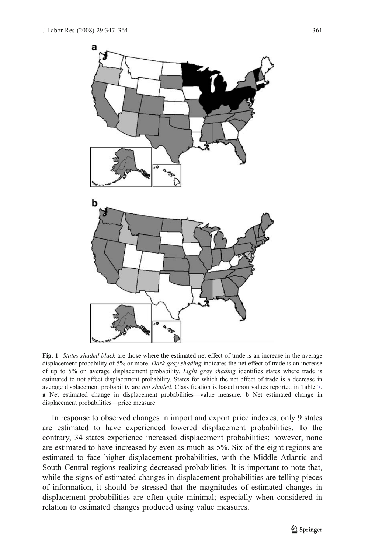<span id="page-15-0"></span>

Fig. 1 States shaded black are those where the estimated net effect of trade is an increase in the average displacement probability of 5% or more. Dark gray shading indicates the net effect of trade is an increase of up to 5% on average displacement probability. Light gray shading identifies states where trade is estimated to not affect displacement probability. States for which the net effect of trade is a decrease in average displacement probability are not shaded. Classification is based upon values reported in Table [7](#page-14-0). a Net estimated change in displacement probabilities—value measure. b Net estimated change in displacement probabilities—price measure

In response to observed changes in import and export price indexes, only 9 states are estimated to have experienced lowered displacement probabilities. To the contrary, 34 states experience increased displacement probabilities; however, none are estimated to have increased by even as much as 5%. Six of the eight regions are estimated to face higher displacement probabilities, with the Middle Atlantic and South Central regions realizing decreased probabilities. It is important to note that, while the signs of estimated changes in displacement probabilities are telling pieces of information, it should be stressed that the magnitudes of estimated changes in displacement probabilities are often quite minimal; especially when considered in relation to estimated changes produced using value measures.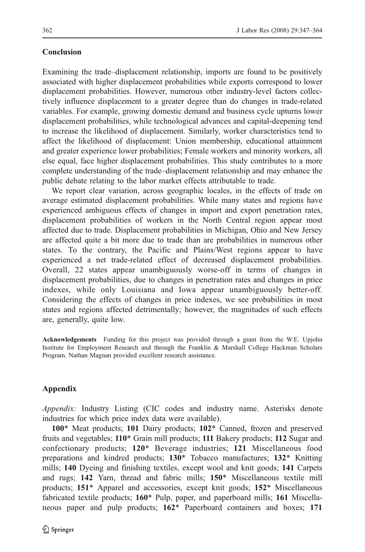#### <span id="page-16-0"></span>Conclusion

Examining the trade–displacement relationship, imports are found to be positively associated with higher displacement probabilities while exports correspond to lower displacement probabilities. However, numerous other industry-level factors collectively influence displacement to a greater degree than do changes in trade-related variables. For example, growing domestic demand and business cycle upturns lower displacement probabilities, while technological advances and capital-deepening tend to increase the likelihood of displacement. Similarly, worker characteristics tend to affect the likelihood of displacement: Union membership, educational attainment and greater experience lower probabilities; Female workers and minority workers, all else equal, face higher displacement probabilities. This study contributes to a more complete understanding of the trade–displacement relationship and may enhance the public debate relating to the labor market effects attributable to trade.

We report clear variation, across geographic locales, in the effects of trade on average estimated displacement probabilities. While many states and regions have experienced ambiguous effects of changes in import and export penetration rates, displacement probabilities of workers in the North Central region appear most affected due to trade. Displacement probabilities in Michigan, Ohio and New Jersey are affected quite a bit more due to trade than are probabilities in numerous other states. To the contrary, the Pacific and Plains/West regions appear to have experienced a net trade-related effect of decreased displacement probabilities. Overall, 22 states appear unambiguously worse-off in terms of changes in displacement probabilities, due to changes in penetration rates and changes in price indexes, while only Louisiana and Iowa appear unambiguously better-off. Considering the effects of changes in price indexes, we see probabilities in most states and regions affected detrimentally; however, the magnitudes of such effects are, generally, quite low.

Acknowledgements Funding for this project was provided through a grant from the W.E. Upjohn Institute for Employment Research and through the Franklin & Marshall College Hackman Scholars Program. Nathan Magnan provided excellent research assistance.

#### Appendix

Appendix: Industry Listing (CIC codes and industry name. Asterisks denote industries for which price index data were available).

100\* Meat products; 101 Dairy products; 102\* Canned, frozen and preserved fruits and vegetables; 110\* Grain mill products; 111 Bakery products; 112 Sugar and confectionary products; 120\* Beverage industries; 121 Miscellaneous food preparations and kindred products; 130\* Tobacco manufactures; 132\* Knitting mills; 140 Dyeing and finishing textiles, except wool and knit goods; 141 Carpets and rugs; 142 Yarn, thread and fabric mills; 150\* Miscellaneous textile mill products; 151\* Apparel and accessories, except knit goods; 152\* Miscellaneous fabricated textile products; 160\* Pulp, paper, and paperboard mills; 161 Miscellaneous paper and pulp products; 162\* Paperboard containers and boxes; 171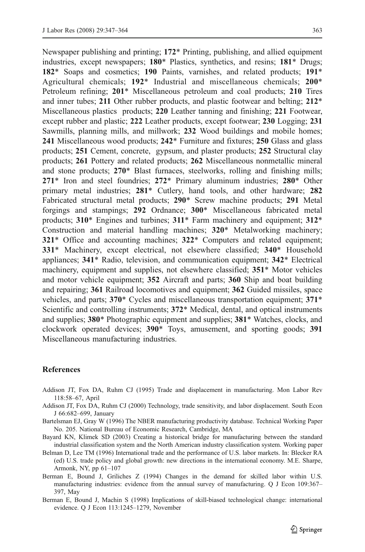<span id="page-17-0"></span>Newspaper publishing and printing; 172\* Printing, publishing, and allied equipment industries, except newspapers; 180\* Plastics, synthetics, and resins; 181\* Drugs; 182\* Soaps and cosmetics; 190 Paints, varnishes, and related products; 191\* Agricultural chemicals; 192\* Industrial and miscellaneous chemicals; 200\* Petroleum refining; 201\* Miscellaneous petroleum and coal products; 210 Tires and inner tubes; 211 Other rubber products, and plastic footwear and belting; 212\* Miscellaneous plastics products; 220 Leather tanning and finishing; 221 Footwear, except rubber and plastic; 222 Leather products, except footwear; 230 Logging; 231 Sawmills, planning mills, and millwork; 232 Wood buildings and mobile homes; 241 Miscellaneous wood products; 242\* Furniture and fixtures; 250 Glass and glass products; 251 Cement, concrete, gypsum, and plaster products; 252 Structural clay products; 261 Pottery and related products; 262 Miscellaneous nonmetallic mineral and stone products; 270\* Blast furnaces, steelworks, rolling and finishing mills; 271\* Iron and steel foundries; 272\* Primary aluminum industries; 280\* Other primary metal industries; 281\* Cutlery, hand tools, and other hardware; 282 Fabricated structural metal products; 290\* Screw machine products; 291 Metal forgings and stampings; 292 Ordnance; 300\* Miscellaneous fabricated metal products;  $310^*$  Engines and turbines;  $311^*$  Farm machinery and equipment;  $312^*$ Construction and material handling machines; 320\* Metalworking machinery; 321\* Office and accounting machines; 322\* Computers and related equipment; 331\* Machinery, except electrical, not elsewhere classified; 340\* Household appliances; 341\* Radio, television, and communication equipment; 342\* Electrical machinery, equipment and supplies, not elsewhere classified; 351\* Motor vehicles and motor vehicle equipment; 352 Aircraft and parts; 360 Ship and boat building and repairing; 361 Railroad locomotives and equipment; 362 Guided missiles, space vehicles, and parts; 370\* Cycles and miscellaneous transportation equipment; 371\* Scientific and controlling instruments; 372\* Medical, dental, and optical instruments and supplies; 380\* Photographic equipment and supplies; 381\* Watches, clocks, and clockwork operated devices; 390\* Toys, amusement, and sporting goods; 391 Miscellaneous manufacturing industries.

#### References

- Addison JT, Fox DA, Ruhm CJ (1995) Trade and displacement in manufacturing. Mon Labor Rev 118:58–67, April
- Addison JT, Fox DA, Ruhm CJ (2000) Technology, trade sensitivity, and labor displacement. South Econ J 66:682–699, January
- Bartelsman EJ, Gray W (1996) The NBER manufacturing productivity database. Technical Working Paper No. 205. National Bureau of Economic Research, Cambridge, MA
- Bayard KN, Klimek SD (2003) Creating a historical bridge for manufacturing between the standard industrial classification system and the North American industry classification system. Working paper
- Belman D, Lee TM (1996) International trade and the performance of U.S. labor markets. In: Blecker RA (ed) U.S. trade policy and global growth: new directions in the international economy. M.E. Sharpe, Armonk, NY, pp 61–107
- Berman E, Bound J, Griliches Z (1994) Changes in the demand for skilled labor within U.S. manufacturing industries: evidence from the annual survey of manufacturing. Q J Econ 109:367– 397, May
- Berman E, Bound J, Machin S (1998) Implications of skill-biased technological change: international evidence. Q J Econ 113:1245–1279, November